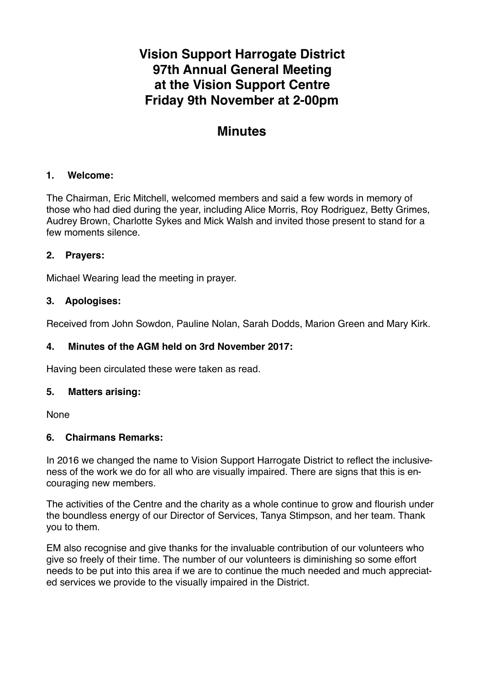# **Vision Support Harrogate District 97th Annual General Meeting at the Vision Support Centre Friday 9th November at 2-00pm**

## **Minutes**

## **1. Welcome:**

The Chairman, Eric Mitchell, welcomed members and said a few words in memory of those who had died during the year, including Alice Morris, Roy Rodriguez, Betty Grimes, Audrey Brown, Charlotte Sykes and Mick Walsh and invited those present to stand for a few moments silence.

#### **2. Prayers:**

Michael Wearing lead the meeting in prayer.

#### **3. Apologises:**

Received from John Sowdon, Pauline Nolan, Sarah Dodds, Marion Green and Mary Kirk.

#### **4. Minutes of the AGM held on 3rd November 2017:**

Having been circulated these were taken as read.

#### **5. Matters arising:**

None

#### **6. Chairmans Remarks:**

In 2016 we changed the name to Vision Support Harrogate District to reflect the inclusiveness of the work we do for all who are visually impaired. There are signs that this is encouraging new members.

The activities of the Centre and the charity as a whole continue to grow and flourish under the boundless energy of our Director of Services, Tanya Stimpson, and her team. Thank you to them.

EM also recognise and give thanks for the invaluable contribution of our volunteers who give so freely of their time. The number of our volunteers is diminishing so some effort needs to be put into this area if we are to continue the much needed and much appreciated services we provide to the visually impaired in the District.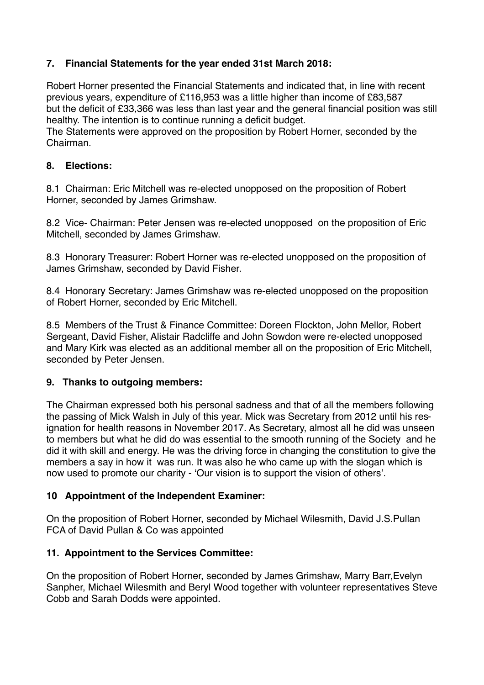## **7. Financial Statements for the year ended 31st March 2018:**

Robert Horner presented the Financial Statements and indicated that, in line with recent previous years, expenditure of £116,953 was a little higher than income of £83,587 but the deficit of £33,366 was less than last year and the general financial position was still healthy. The intention is to continue running a deficit budget.

The Statements were approved on the proposition by Robert Horner, seconded by the Chairman.

## **8. Elections:**

8.1 Chairman: Eric Mitchell was re-elected unopposed on the proposition of Robert Horner, seconded by James Grimshaw.

8.2 Vice- Chairman: Peter Jensen was re-elected unopposed on the proposition of Eric Mitchell, seconded by James Grimshaw.

8.3 Honorary Treasurer: Robert Horner was re-elected unopposed on the proposition of James Grimshaw, seconded by David Fisher.

8.4 Honorary Secretary: James Grimshaw was re-elected unopposed on the proposition of Robert Horner, seconded by Eric Mitchell.

8.5 Members of the Trust & Finance Committee: Doreen Flockton, John Mellor, Robert Sergeant, David Fisher, Alistair Radcliffe and John Sowdon were re-elected unopposed and Mary Kirk was elected as an additional member all on the proposition of Eric Mitchell, seconded by Peter Jensen.

## **9. Thanks to outgoing members:**

The Chairman expressed both his personal sadness and that of all the members following the passing of Mick Walsh in July of this year. Mick was Secretary from 2012 until his resignation for health reasons in November 2017. As Secretary, almost all he did was unseen to members but what he did do was essential to the smooth running of the Society and he did it with skill and energy. He was the driving force in changing the constitution to give the members a say in how it was run. It was also he who came up with the slogan which is now used to promote our charity - 'Our vision is to support the vision of others'.

## **10 Appointment of the Independent Examiner:**

On the proposition of Robert Horner, seconded by Michael Wilesmith, David J.S.Pullan FCA of David Pullan & Co was appointed

## **11. Appointment to the Services Committee:**

On the proposition of Robert Horner, seconded by James Grimshaw, Marry Barr,Evelyn Sanpher, Michael Wilesmith and Beryl Wood together with volunteer representatives Steve Cobb and Sarah Dodds were appointed.